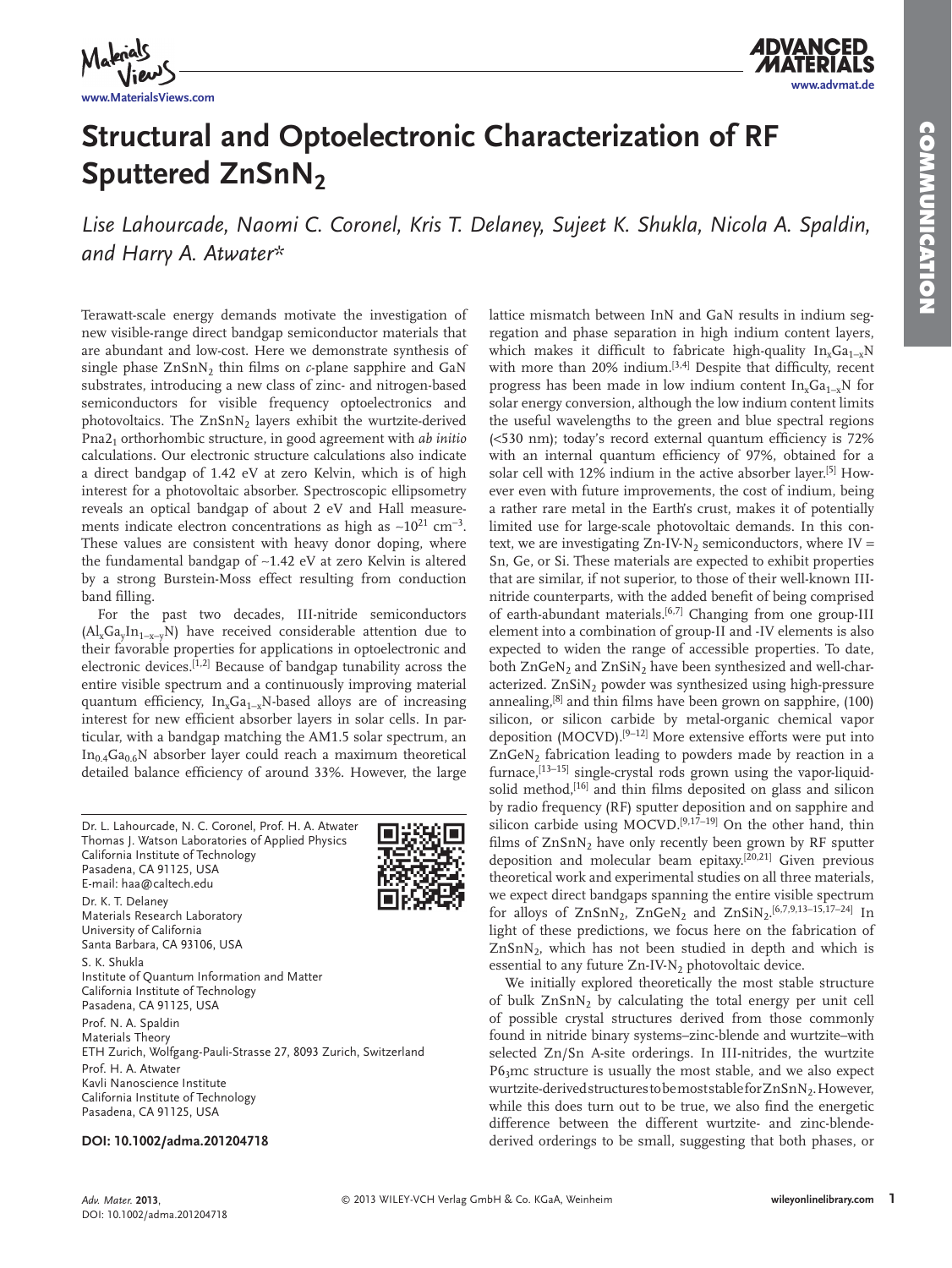

**www.MaterialsViews.com**



# **Structural and Optoelectronic Characterization of RF Sputtered ZnSnN**2

Lise Lahourcade, Naomi C. Coronel, Kris T. Delaney, Sujeet K. Shukla, Nicola A. Spaldin,  *and Harry A. Atwater \** 

 Terawatt-scale energy demands motivate the investigation of new visible-range direct bandgap semiconductor materials that are abundant and low-cost. Here we demonstrate synthesis of single phase  $ZnSnN<sub>2</sub>$  thin films on  $c$ -plane sapphire and GaN substrates, introducing a new class of zinc- and nitrogen-based semiconductors for visible frequency optoelectronics and photovoltaics. The  $ZnSnN<sub>2</sub>$  layers exhibit the wurtzite-derived Pna2<sub>1</sub> orthorhombic structure, in good agreement with *ab initio* calculations. Our electronic structure calculations also indicate a direct bandgap of 1.42 eV at zero Kelvin, which is of high interest for a photovoltaic absorber. Spectroscopic ellipsometry reveals an optical bandgap of about 2 eV and Hall measurements indicate electron concentrations as high as  $\sim 10^{21}$  cm<sup>-3</sup>. These values are consistent with heavy donor doping, where the fundamental bandgap of ∼ 1.42 eV at zero Kelvin is altered by a strong Burstein-Moss effect resulting from conduction band filling.

 For the past two decades, III-nitride semiconductors  $(Al_xGa_yIn_{1-x-y}N)$  have received considerable attention due to their favorable properties for applications in optoelectronic and electronic devices.<sup>[1,2]</sup> Because of bandgap tunability across the entire visible spectrum and a continuously improving material quantum efficiency,  $In_xGa_{1-x}N$ -based alloys are of increasing interest for new efficient absorber layers in solar cells. In particular, with a bandgap matching the AM1.5 solar spectrum, an  $In_0$ <sub>4</sub>Ga<sub>0.6</sub>N absorber layer could reach a maximum theoretical detailed balance efficiency of around 33%. However, the large

 Dr. L. Lahourcade, N. C. Coronel, Prof. H. A. Atwater Thomas J. Watson Laboratories of Applied Physics California Institute of Technology Pasadena, CA 91125, USA E-mail: haa@caltech.edu Dr. K. T. Delaney Materials Research Laboratory University of California Santa Barbara, CA 93106, USA S. K. Shukla Institute of Quantum Information and Matter California Institute of Technology Pasadena, CA 91125, USA Prof. N. A. Spaldin Materials Theory ETH Zurich, Wolfgang-Pauli-Strasse 27, 8093 Zurich, Switzerland Prof. H. A. Atwater Kavli Nanoscience Institute California Institute of Technology Pasadena, CA 91125, USA

#### **DOI: 10.1002/adma.201204718**

lattice mismatch between InN and GaN results in indium seg-

regation and phase separation in high indium content layers, which makes it difficult to fabricate high-quality  $In_vGa_{1-v}N$ with more than 20% indium.<sup>[3,4]</sup> Despite that difficulty, recent progress has been made in low indium content  $In_xGa_{1-x}N$  for solar energy conversion, although the low indium content limits the useful wavelengths to the green and blue spectral regions ( $<$ 530 nm); today's record external quantum efficiency is 72% with an internal quantum efficiency of 97%, obtained for a solar cell with 12% indium in the active absorber layer.<sup>[5]</sup> However even with future improvements, the cost of indium, being a rather rare metal in the Earth's crust, makes it of potentially limited use for large-scale photovoltaic demands. In this context, we are investigating  $Zn$ -IV-N<sub>2</sub> semiconductors, where IV = Sn, Ge, or Si. These materials are expected to exhibit properties that are similar, if not superior, to those of their well-known IIInitride counterparts, with the added benefit of being comprised of earth-abundant materials.<sup>[6,7]</sup> Changing from one group-III element into a combination of group-II and -IV elements is also expected to widen the range of accessible properties. To date, both  $ZnGeV<sub>2</sub>$  and  $ZnSiN<sub>2</sub>$  have been synthesized and well-characterized. ZnSiN<sub>2</sub> powder was synthesized using high-pressure annealing,  $[8]$  and thin films have been grown on sapphire, (100) silicon, or silicon carbide by metal-organic chemical vapor deposition (MOCVD).<sup>[9-12]</sup> More extensive efforts were put into  $ZnGeN<sub>2</sub>$  fabrication leading to powders made by reaction in a furnace, <a>[13-15]</a> single-crystal rods grown using the vapor-liquidsolid method,<sup>[16]</sup> and thin films deposited on glass and silicon by radio frequency (RF) sputter deposition and on sapphire and silicon carbide using MOCVD.<sup>[9,17-19]</sup> On the other hand, thin films of  $ZnSnN<sub>2</sub>$  have only recently been grown by RF sputter deposition and molecular beam epitaxy.<sup>[20,21]</sup> Given previous theoretical work and experimental studies on all three materials, we expect direct bandgaps spanning the entire visible spectrum for alloys of  $\text{ZnSnN}_2$ ,  $\text{ZnGeN}_2$  and  $\text{ZnSiN}_2$ .<sup>[6,7,9,13-15,17-24]</sup> In light of these predictions, we focus here on the fabrication of  $ZnSnN<sub>2</sub>$ , which has not been studied in depth and which is essential to any future  $Zn$ -IV-N<sub>2</sub> photovoltaic device.

 We initially explored theoretically the most stable structure of bulk  $ZnSnN<sub>2</sub>$  by calculating the total energy per unit cell of possible crystal structures derived from those commonly found in nitride binary systems–zinc-blende and wurtzite–with selected Zn/Sn A-site orderings. In III-nitrides, the wurtzite P6<sub>3</sub>mc structure is usually the most stable, and we also expect wurtzite-derived structures to be most stable for ZnSnN<sub>2</sub>. However, while this does turn out to be true, we also find the energetic difference between the different wurtzite- and zinc-blendederived orderings to be small, suggesting that both phases, or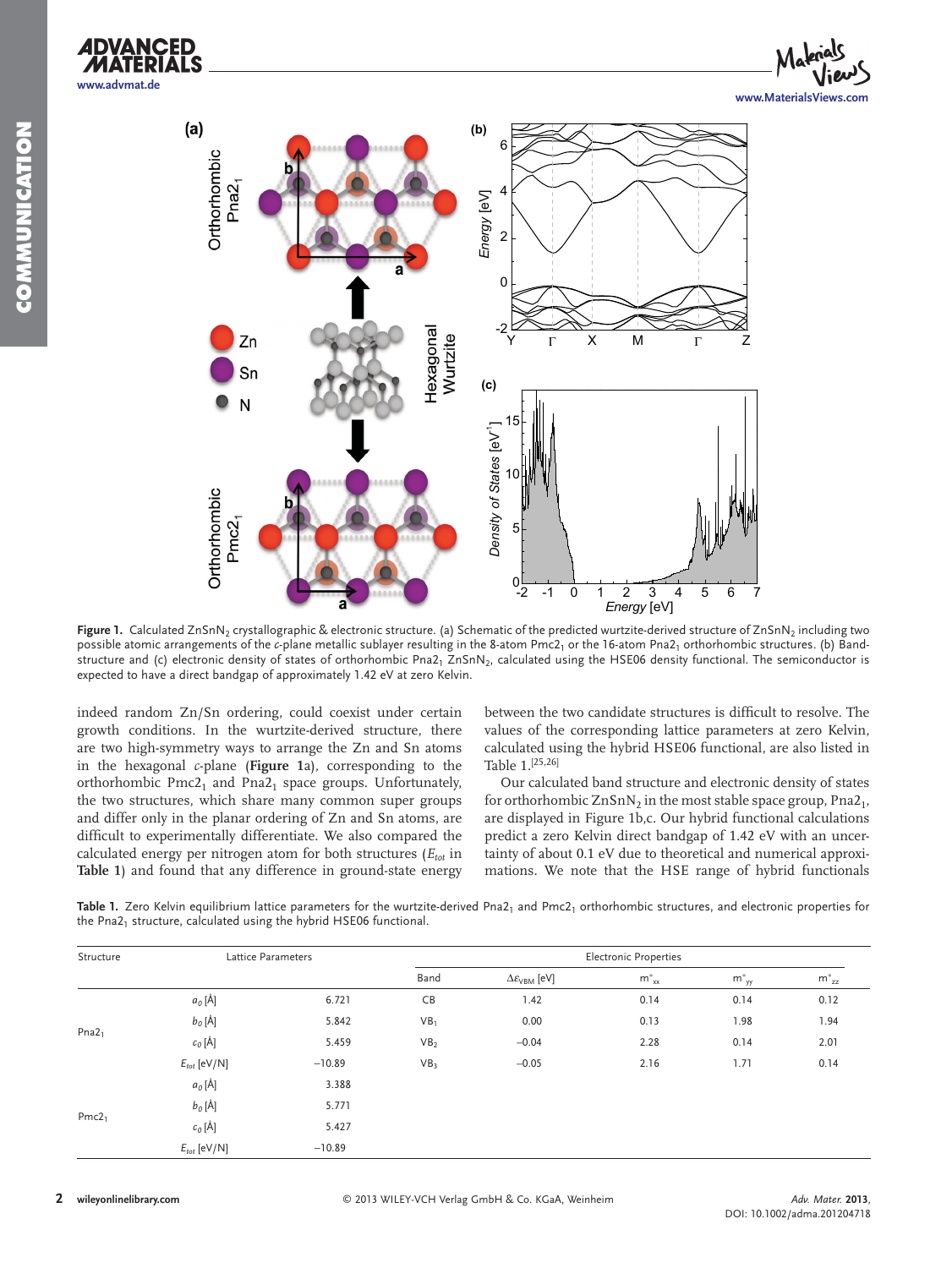



Figure 1. Calculated ZnSnN<sub>2</sub> crystallographic & electronic structure. (a) Schematic of the predicted wurtzite-derived structure of ZnSnN<sub>2</sub> including two possible atomic arrangements of the c-plane metallic sublayer resulting in the 8-atom Pmc2<sub>1</sub> or the 16-atom Pna2<sub>1</sub> orthorhombic structures. (b) Bandstructure and (c) electronic density of states of orthorhombic Pna2<sub>1</sub> ZnSnN<sub>2</sub>, calculated using the HSE06 density functional. The semiconductor is expected to have a direct bandgap of approximately 1.42 eV at zero Kelvin.

indeed random Zn/Sn ordering, could coexist under certain growth conditions. In the wurtzite-derived structure, there are two high-symmetry ways to arrange the Zn and Sn atoms in the hexagonal *c*-plane (Figure 1a), corresponding to the orthorhombic  $Pmc2<sub>1</sub>$  and  $Pna2<sub>1</sub>$  space groups. Unfortunately, the two structures, which share many common super groups and differ only in the planar ordering of Zn and Sn atoms, are difficult to experimentally differentiate. We also compared the calculated energy per nitrogen atom for both structures  $(E_{tot}$  in **Table 1** ) and found that any difference in ground-state energy

between the two candidate structures is difficult to resolve. The values of the corresponding lattice parameters at zero Kelvin, calculated using the hybrid HSE06 functional, are also listed in Table 1.<sup>[25,26]</sup>

 Our calculated band structure and electronic density of states for orthorhombic  $ZnSnN<sub>2</sub>$  in the most stable space group, Pna2<sub>1</sub>, are displayed in Figure 1b,c. Our hybrid functional calculations predict a zero Kelvin direct bandgap of 1.42 eV with an uncertainty of about 0.1 eV due to theoretical and numerical approximations. We note that the HSE range of hybrid functionals

Table 1. Zero Kelvin equilibrium lattice parameters for the wurtzite-derived Pna2<sub>1</sub> and Pmc2<sub>1</sub> orthorhombic structures, and electronic properties for the Pna2 $<sub>1</sub>$  structure, calculated using the hybrid HSE06 functional.</sub>

| Structure         | Lattice Parameters |          | <b>Electronic Properties</b> |                                         |            |            |            |
|-------------------|--------------------|----------|------------------------------|-----------------------------------------|------------|------------|------------|
|                   |                    |          | Band                         | $\Delta\varepsilon_{\mathrm{VBM}}$ [eV] | $m^*_{xx}$ | $m^*_{yy}$ | $m^*_{zz}$ |
| Pna2 <sub>1</sub> | $a_0$ [Å]          | 6.721    | CB                           | 1.42                                    | 0.14       | 0.14       | 0.12       |
|                   | $b_0 [\AA]$        | 5.842    | VB <sub>1</sub>              | 0.00                                    | 0.13       | 1.98       | 1.94       |
|                   | $c_0$ [Å]          | 5.459    | VB <sub>2</sub>              | $-0.04$                                 | 2.28       | 0.14       | 2.01       |
|                   | $E_{tot}$ [eV/N]   | $-10.89$ | VB <sub>3</sub>              | $-0.05$                                 | 2.16       | 1.71       | 0.14       |
| Pmc2 <sub>1</sub> | $a_0$ [Å]          | 3.388    |                              |                                         |            |            |            |
|                   | $b_0 [\AA]$        | 5.771    |                              |                                         |            |            |            |
|                   | $c_0$ [Å]          | 5.427    |                              |                                         |            |            |            |
|                   | $E_{tot}$ [eV/N]   | $-10.89$ |                              |                                         |            |            |            |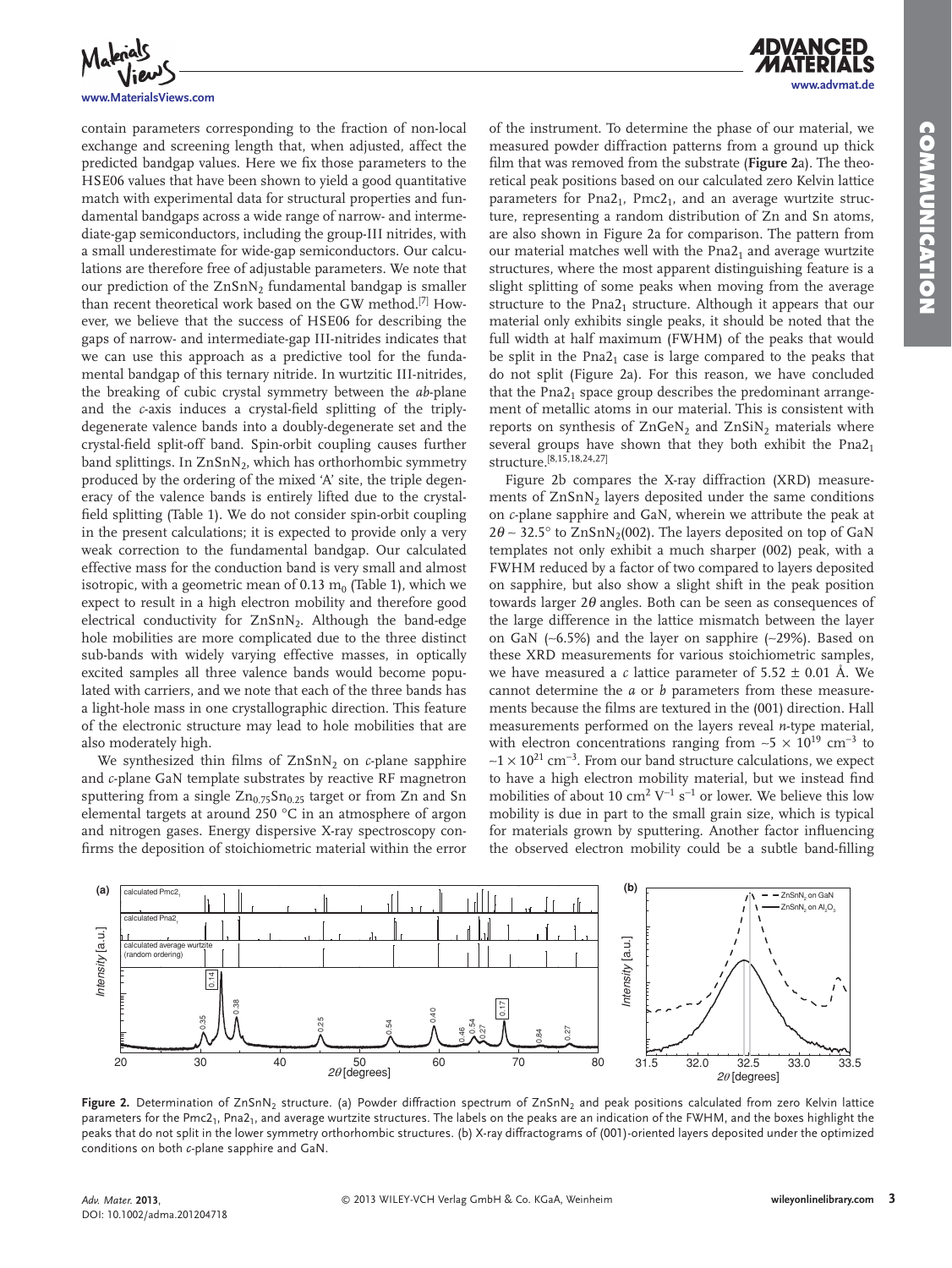**www.advmat.de**



**www.MaterialsViews.com**

contain parameters corresponding to the fraction of non-local exchange and screening length that, when adjusted, affect the predicted bandgap values. Here we fix those parameters to the HSE06 values that have been shown to yield a good quantitative match with experimental data for structural properties and fundamental bandgaps across a wide range of narrow- and intermediate-gap semiconductors, including the group-III nitrides, with a small underestimate for wide-gap semiconductors. Our calculations are therefore free of adjustable parameters. We note that our prediction of the ZnSnN<sub>2</sub> fundamental bandgap is smaller than recent theoretical work based on the GW method.<sup>[7]</sup> However, we believe that the success of HSE06 for describing the gaps of narrow- and intermediate-gap III-nitrides indicates that we can use this approach as a predictive tool for the fundamental bandgap of this ternary nitride. In wurtzitic III-nitrides, the breaking of cubic crystal symmetry between the *ab* -plane and the *c*-axis induces a crystal-field splitting of the triplydegenerate valence bands into a doubly-degenerate set and the crystal-field split-off band. Spin-orbit coupling causes further band splittings. In ZnSnN<sub>2</sub>, which has orthorhombic symmetry produced by the ordering of the mixed 'A' site, the triple degeneracy of the valence bands is entirely lifted due to the crystalfield splitting (Table 1). We do not consider spin-orbit coupling in the present calculations; it is expected to provide only a very weak correction to the fundamental bandgap. Our calculated effective mass for the conduction band is very small and almost isotropic, with a geometric mean of 0.13  $m_0$  (Table 1), which we expect to result in a high electron mobility and therefore good electrical conductivity for  $ZnSnN<sub>2</sub>$ . Although the band-edge hole mobilities are more complicated due to the three distinct sub-bands with widely varying effective masses, in optically excited samples all three valence bands would become populated with carriers, and we note that each of the three bands has a light-hole mass in one crystallographic direction. This feature of the electronic structure may lead to hole mobilities that are also moderately high.

We synthesized thin films of  $ZnSnN<sub>2</sub>$  on  $c$ -plane sapphire and *c* -plane GaN template substrates by reactive RF magnetron sputtering from a single  $Zn_{0.75}Sn_{0.25}$  target or from Zn and Sn elemental targets at around 250 °C in an atmosphere of argon and nitrogen gases. Energy dispersive X-ray spectroscopy confirms the deposition of stoichiometric material within the error of the instrument. To determine the phase of our material, we measured powder diffraction patterns from a ground up thick film that was removed from the substrate (Figure 2a). The theoretical peak positions based on our calculated zero Kelvin lattice parameters for Pna $2<sub>1</sub>$ , Pmc $2<sub>1</sub>$ , and an average wurtzite structure, representing a random distribution of Zn and Sn atoms, are also shown in Figure 2a for comparison. The pattern from our material matches well with the Pna $2<sub>1</sub>$  and average wurtzite structures, where the most apparent distinguishing feature is a slight splitting of some peaks when moving from the average structure to the Pna21 structure. Although it appears that our material only exhibits single peaks, it should be noted that the full width at half maximum (FWHM) of the peaks that would be split in the Pna $2<sub>1</sub>$  case is large compared to the peaks that do not split (Figure 2a). For this reason, we have concluded that the Pna $2<sub>1</sub>$  space group describes the predominant arrangement of metallic atoms in our material. This is consistent with reports on synthesis of ZnGeN<sub>2</sub> and ZnSiN<sub>2</sub> materials where several groups have shown that they both exhibit the Pna2 $_1$ structure. [8,15,18,24,27]

Figure 2b compares the X-ray diffraction (XRD) measurements of  $ZnSnN<sub>2</sub>$  layers deposited under the same conditions on *c* -plane sapphire and GaN, wherein we attribute the peak at  $2\theta \sim 32.5^{\circ}$  to ZnSnN<sub>2</sub>(002). The layers deposited on top of GaN templates not only exhibit a much sharper (002) peak, with a FWHM reduced by a factor of two compared to layers deposited on sapphire, but also show a slight shift in the peak position towards larger  $2\theta$  angles. Both can be seen as consequences of the large difference in the lattice mismatch between the layer on GaN (~6.5%) and the layer on sapphire (~29%). Based on these XRD measurements for various stoichiometric samples, we have measured a *c* lattice parameter of  $5.52 \pm 0.01$  Å. We cannot determine the *a* or *b* parameters from these measurements because the films are textured in the (001) direction. Hall measurements performed on the layers reveal *n*-type material, with electron concentrations ranging from ~5  $\times$  10<sup>19</sup> cm<sup>-3</sup> to  $~\sim$ 1 × 10<sup>21</sup> cm<sup>-3</sup>. From our band structure calculations, we expect to have a high electron mobility material, but we instead find mobilities of about 10 cm<sup>2</sup> V<sup>-1</sup> s<sup>-1</sup> or lower. We believe this low mobility is due in part to the small grain size, which is typical for materials grown by sputtering. Another factor influencing the observed electron mobility could be a subtle band-filling



Figure 2. Determination of ZnSnN<sub>2</sub> structure. (a) Powder diffraction spectrum of ZnSnN<sub>2</sub> and peak positions calculated from zero Kelvin lattice parameters for the Pmc2<sub>1</sub>, Pna2<sub>1</sub>, and average wurtzite structures. The labels on the peaks are an indication of the FWHM, and the boxes highlight the peaks that do not split in the lower symmetry orthorhombic structures. (b) X-ray diffractograms of (001)-oriented layers deposited under the optimized conditions on both *c* -plane sapphire and GaN.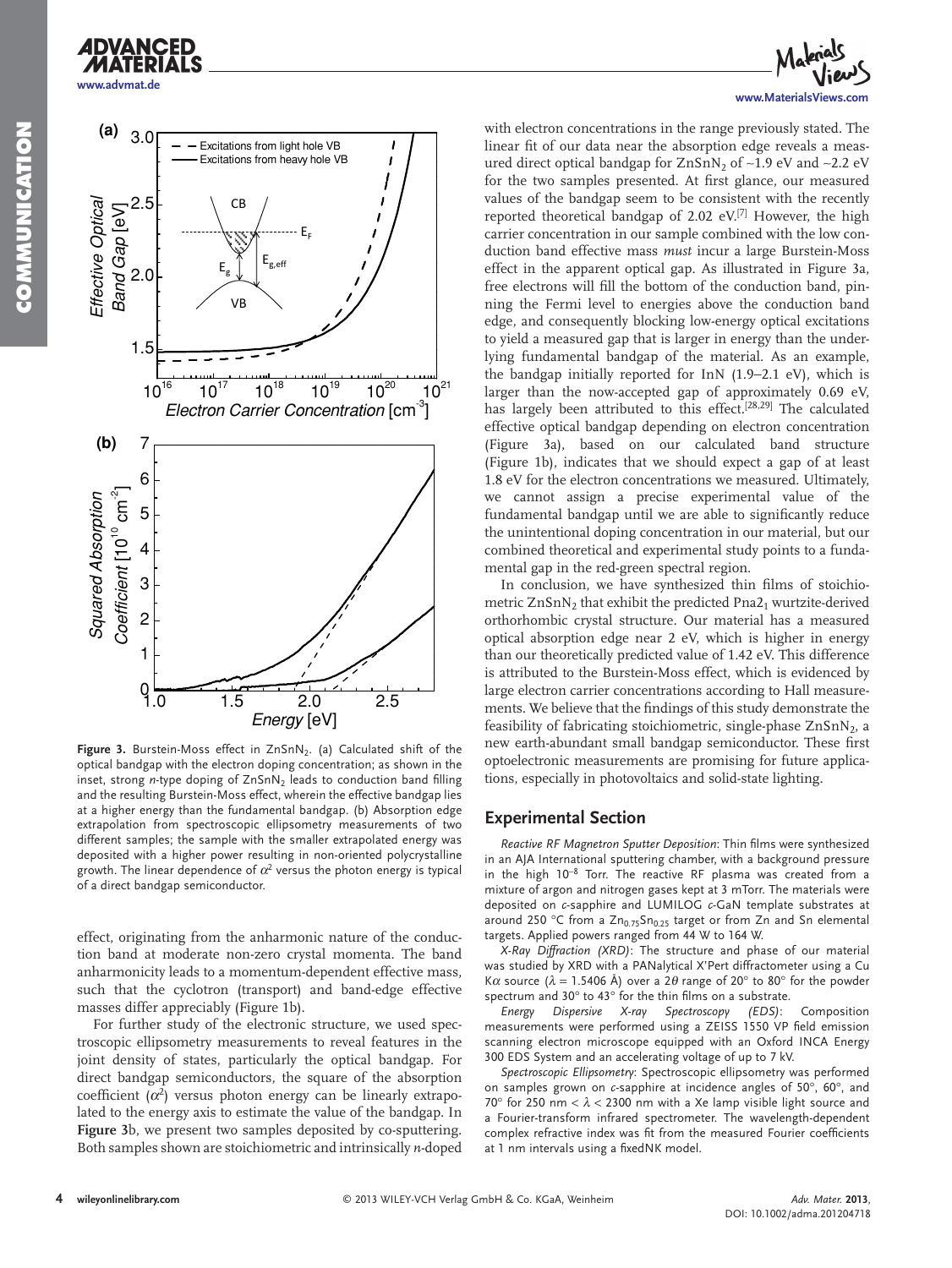

**Figure 3.** Burstein-Moss effect in ZnSnN<sub>2</sub>. (a) Calculated shift of the optical bandgap with the electron doping concentration; as shown in the inset, strong *n*-type doping of ZnSnN<sub>2</sub> leads to conduction band filling and the resulting Burstein-Moss effect, wherein the effective bandgap lies at a higher energy than the fundamental bandgap. (b) Absorption edge extrapolation from spectroscopic ellipsometry measurements of two different samples; the sample with the smaller extrapolated energy was deposited with a higher power resulting in non-oriented polycrystalline growth. The linear dependence of  $\alpha^2$  versus the photon energy is typical of a direct bandgap semiconductor.

effect, originating from the anharmonic nature of the conduction band at moderate non-zero crystal momenta. The band anharmonicity leads to a momentum-dependent effective mass, such that the cyclotron (transport) and band-edge effective masses differ appreciably (Figure 1b).

 For further study of the electronic structure, we used spectroscopic ellipsometry measurements to reveal features in the joint density of states, particularly the optical bandgap. For direct bandgap semiconductors, the square of the absorption coefficient  $(\alpha^2)$  versus photon energy can be linearly extrapolated to the energy axis to estimate the value of the bandgap. In Figure 3b, we present two samples deposited by co-sputtering. Both samples shown are stoichiometric and intrinsically *n* -doped



with electron concentrations in the range previously stated. The linear fit of our data near the absorption edge reveals a measured direct optical bandgap for ZnSnN<sub>2</sub> of ~1.9 eV and ~2.2 eV for the two samples presented. At first glance, our measured values of the bandgap seem to be consistent with the recently reported theoretical bandgap of 2.02  $eV^{[7]}$  However, the high carrier concentration in our sample combined with the low conduction band effective mass *must* incur a large Burstein-Moss effect in the apparent optical gap. As illustrated in Figure 3a, free electrons will fill the bottom of the conduction band, pinning the Fermi level to energies above the conduction band edge, and consequently blocking low-energy optical excitations to yield a measured gap that is larger in energy than the underlying fundamental bandgap of the material. As an example, the bandgap initially reported for InN (1.9−2.1 eV), which is larger than the now-accepted gap of approximately 0.69 eV, has largely been attributed to this effect.<sup>[28,29]</sup> The calculated effective optical bandgap depending on electron concentration (Figure 3a), based on our calculated band structure (Figure 1b), indicates that we should expect a gap of at least 1.8 eV for the electron concentrations we measured. Ultimately, we cannot assign a precise experimental value of the fundamental bandgap until we are able to significantly reduce the unintentional doping concentration in our material, but our combined theoretical and experimental study points to a fundamental gap in the red-green spectral region.

In conclusion, we have synthesized thin films of stoichiometric ZnSnN<sub>2</sub> that exhibit the predicted Pna2<sub>1</sub> wurtzite-derived orthorhombic crystal structure. Our material has a measured optical absorption edge near 2 eV, which is higher in energy than our theoretically predicted value of 1.42 eV. This difference is attributed to the Burstein-Moss effect, which is evidenced by large electron carrier concentrations according to Hall measurements. We believe that the findings of this study demonstrate the feasibility of fabricating stoichiometric, single-phase  $ZnSnN<sub>2</sub>$ , a new earth-abundant small bandgap semiconductor. These first optoelectronic measurements are promising for future applications, especially in photovoltaics and solid-state lighting.

### **Experimental Section**

*Reactive RF Magnetron Sputter Deposition*: Thin films were synthesized in an AJA International sputtering chamber, with a background pressure in the high  $10^{-8}$  Torr. The reactive RF plasma was created from a mixture of argon and nitrogen gases kept at 3 mTorr. The materials were deposited on *c* -sapphire and LUMILOG *c* -GaN template substrates at around 250 °C from a  $Zn_{0.75}Sn_{0.25}$  target or from Zn and Sn elemental targets. Applied powers ranged from 44 W to 164 W.

*X-Ray Diffraction (XRD)*: The structure and phase of our material was studied by XRD with a PANalytical X'Pert diffractometer using a Cu K $\alpha$  source ( $\lambda$  = 1.5406 Å) over a 2 $\theta$  range of 20° to 80° for the powder spectrum and 30 $^{\circ}$  to 43 $^{\circ}$  for the thin films on a substrate.

*Energy Dispersive X-ray Spectroscopy (EDS)* : Composition measurements were performed using a ZEISS 1550 VP field emission scanning electron microscope equipped with an Oxford INCA Energy 300 EDS System and an accelerating voltage of up to 7 kV.

*Spectroscopic Ellipsometry* : Spectroscopic ellipsometry was performed on samples grown on c-sapphire at incidence angles of 50°, 60°, and 70 $\degree$  for 250 nm <  $\lambda$  < 2300 nm with a Xe lamp visible light source and a Fourier-transform infrared spectrometer. The wavelength-dependent complex refractive index was fit from the measured Fourier coefficients at 1 nm intervals using a fixedNK model.

**ADVANCED**